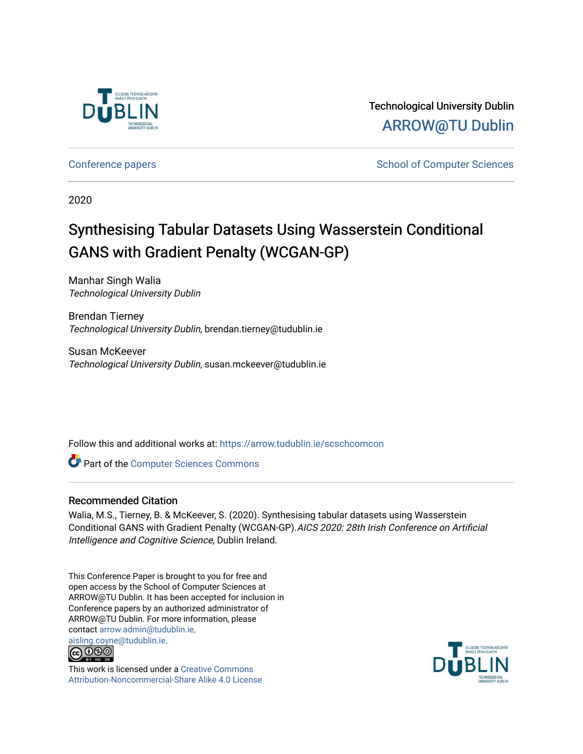

Technological University Dublin [ARROW@TU Dublin](https://arrow.tudublin.ie/) 

[Conference papers](https://arrow.tudublin.ie/scschcomcon) **School of Computer Sciences** School of Computer Sciences

2020

# Synthesising Tabular Datasets Using Wasserstein Conditional GANS with Gradient Penalty (WCGAN-GP)

Manhar Singh Walia Technological University Dublin

Brendan Tierney Technological University Dublin, brendan.tierney@tudublin.ie

Susan McKeever Technological University Dublin, susan.mckeever@tudublin.ie

Follow this and additional works at: [https://arrow.tudublin.ie/scschcomcon](https://arrow.tudublin.ie/scschcomcon?utm_source=arrow.tudublin.ie%2Fscschcomcon%2F289&utm_medium=PDF&utm_campaign=PDFCoverPages)

**Part of the [Computer Sciences Commons](http://network.bepress.com/hgg/discipline/142?utm_source=arrow.tudublin.ie%2Fscschcomcon%2F289&utm_medium=PDF&utm_campaign=PDFCoverPages)** 

# Recommended Citation

Walia, M.S., Tierney, B. & McKeever, S. (2020). Synthesising tabular datasets using Wasserstein Conditional GANS with Gradient Penalty (WCGAN-GP).AICS 2020: 28th Irish Conference on Artificial Intelligence and Cognitive Science, Dublin Ireland.

This Conference Paper is brought to you for free and open access by the School of Computer Sciences at ARROW@TU Dublin. It has been accepted for inclusion in Conference papers by an authorized administrator of ARROW@TU Dublin. For more information, please contact [arrow.admin@tudublin.ie,](mailto:arrow.admin@tudublin.ie,%20aisling.coyne@tudublin.ie)  [aisling.coyne@tudublin.ie.](mailto:arrow.admin@tudublin.ie,%20aisling.coyne@tudublin.ie)



This work is licensed under a [Creative Commons](http://creativecommons.org/licenses/by-nc-sa/4.0/) [Attribution-Noncommercial-Share Alike 4.0 License](http://creativecommons.org/licenses/by-nc-sa/4.0/)

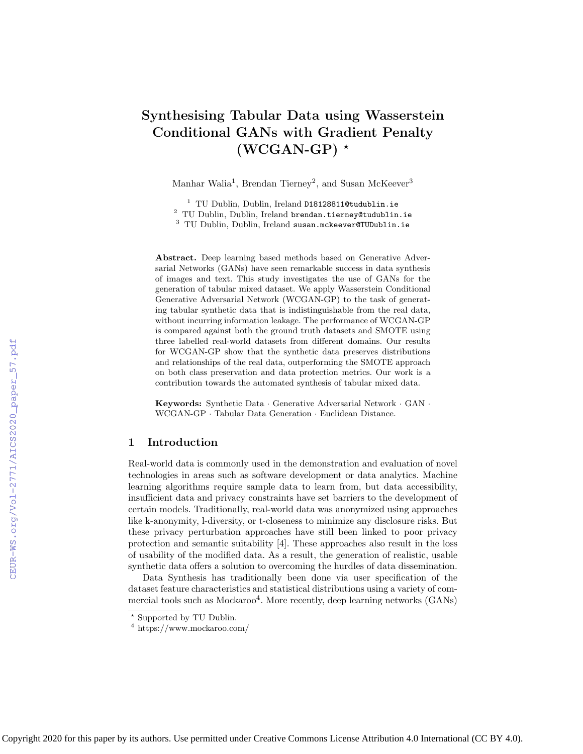# Synthesising Tabular Data using Wasserstein Conditional GANs with Gradient Penalty  $(WCGAN-GP)$  \*

Manhar Walia<sup>1</sup>, Brendan Tierney<sup>2</sup>, and Susan McKeever<sup>3</sup>

<sup>1</sup> TU Dublin, Dublin, Ireland D18128811@tudublin.ie <sup>2</sup> TU Dublin, Dublin, Ireland brendan.tierney@tudublin.ie <sup>3</sup> TU Dublin, Dublin, Ireland susan.mckeever@TUDublin.ie

Abstract. Deep learning based methods based on Generative Adversarial Networks (GANs) have seen remarkable success in data synthesis of images and text. This study investigates the use of GANs for the generation of tabular mixed dataset. We apply Wasserstein Conditional Generative Adversarial Network (WCGAN-GP) to the task of generating tabular synthetic data that is indistinguishable from the real data, without incurring information leakage. The performance of WCGAN-GP is compared against both the ground truth datasets and SMOTE using three labelled real-world datasets from different domains. Our results for WCGAN-GP show that the synthetic data preserves distributions and relationships of the real data, outperforming the SMOTE approach on both class preservation and data protection metrics. Our work is a contribution towards the automated synthesis of tabular mixed data.

Keywords: Synthetic Data · Generative Adversarial Network · GAN · WCGAN-GP · Tabular Data Generation · Euclidean Distance.

# 1 Introduction

Real-world data is commonly used in the demonstration and evaluation of novel technologies in areas such as software development or data analytics. Machine learning algorithms require sample data to learn from, but data accessibility, insufficient data and privacy constraints have set barriers to the development of certain models. Traditionally, real-world data was anonymized using approaches like k-anonymity, l-diversity, or t-closeness to minimize any disclosure risks. But these privacy perturbation approaches have still been linked to poor privacy protection and semantic suitability [4]. These approaches also result in the loss of usability of the modified data. As a result, the generation of realistic, usable synthetic data offers a solution to overcoming the hurdles of data dissemination.

Data Synthesis has traditionally been done via user specification of the dataset feature characteristics and statistical distributions using a variety of commercial tools such as Mockaroo<sup>4</sup>. More recently, deep learning networks (GANs)

<sup>?</sup> Supported by TU Dublin.

<sup>4</sup> https://www.mockaroo.com/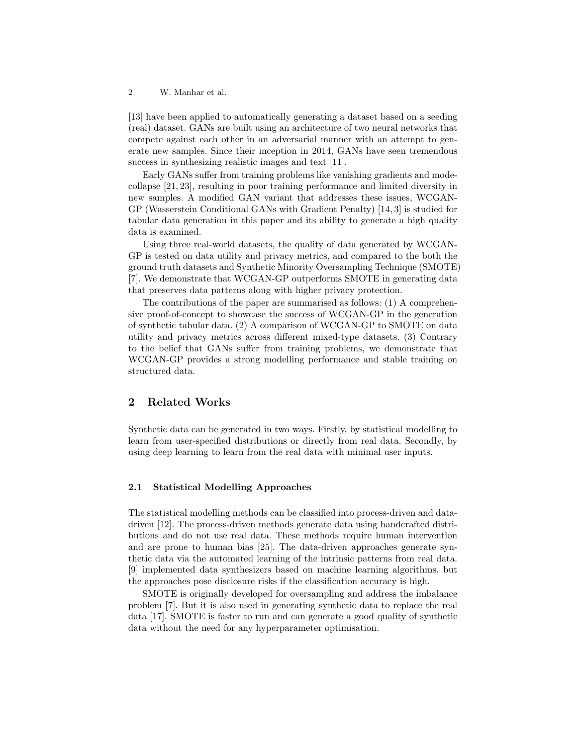[13] have been applied to automatically generating a dataset based on a seeding (real) dataset. GANs are built using an architecture of two neural networks that compete against each other in an adversarial manner with an attempt to generate new samples. Since their inception in 2014, GANs have seen tremendous success in synthesizing realistic images and text [11].

Early GANs suffer from training problems like vanishing gradients and modecollapse [21, 23], resulting in poor training performance and limited diversity in new samples. A modified GAN variant that addresses these issues, WCGAN-GP (Wasserstein Conditional GANs with Gradient Penalty) [14, 3] is studied for tabular data generation in this paper and its ability to generate a high quality data is examined.

Using three real-world datasets, the quality of data generated by WCGAN-GP is tested on data utility and privacy metrics, and compared to the both the ground truth datasets and Synthetic Minority Oversampling Technique (SMOTE) [7]. We demonstrate that WCGAN-GP outperforms SMOTE in generating data that preserves data patterns along with higher privacy protection.

The contributions of the paper are summarised as follows: (1) A comprehensive proof-of-concept to showcase the success of WCGAN-GP in the generation of synthetic tabular data. (2) A comparison of WCGAN-GP to SMOTE on data utility and privacy metrics across different mixed-type datasets. (3) Contrary to the belief that GANs suffer from training problems, we demonstrate that WCGAN-GP provides a strong modelling performance and stable training on structured data.

# 2 Related Works

Synthetic data can be generated in two ways. Firstly, by statistical modelling to learn from user-specified distributions or directly from real data. Secondly, by using deep learning to learn from the real data with minimal user inputs.

#### 2.1 Statistical Modelling Approaches

The statistical modelling methods can be classified into process-driven and datadriven [12]. The process-driven methods generate data using handcrafted distributions and do not use real data. These methods require human intervention and are prone to human bias [25]. The data-driven approaches generate synthetic data via the automated learning of the intrinsic patterns from real data. [9] implemented data synthesizers based on machine learning algorithms, but the approaches pose disclosure risks if the classification accuracy is high.

SMOTE is originally developed for oversampling and address the imbalance problem [7]. But it is also used in generating synthetic data to replace the real data [17]. SMOTE is faster to run and can generate a good quality of synthetic data without the need for any hyperparameter optimisation.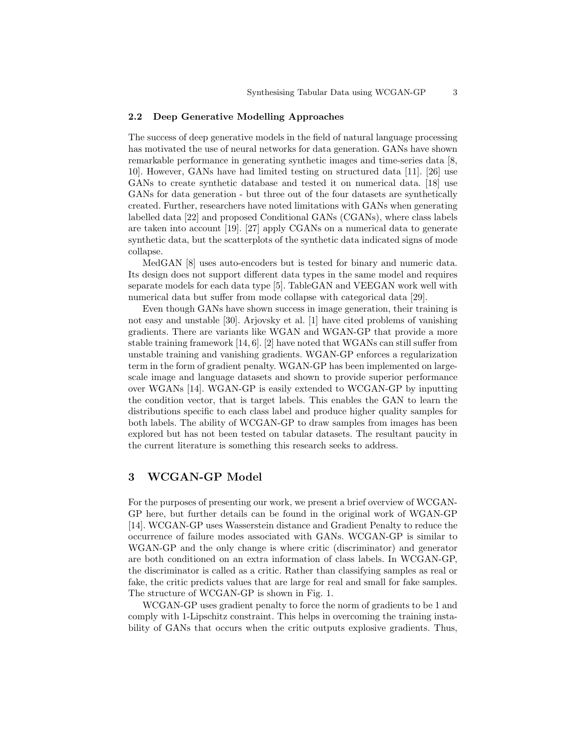#### 2.2 Deep Generative Modelling Approaches

The success of deep generative models in the field of natural language processing has motivated the use of neural networks for data generation. GANs have shown remarkable performance in generating synthetic images and time-series data [8, 10]. However, GANs have had limited testing on structured data [11]. [26] use GANs to create synthetic database and tested it on numerical data. [18] use GANs for data generation - but three out of the four datasets are synthetically created. Further, researchers have noted limitations with GANs when generating labelled data [22] and proposed Conditional GANs (CGANs), where class labels are taken into account [19]. [27] apply CGANs on a numerical data to generate synthetic data, but the scatterplots of the synthetic data indicated signs of mode collapse.

MedGAN [8] uses auto-encoders but is tested for binary and numeric data. Its design does not support different data types in the same model and requires separate models for each data type [5]. TableGAN and VEEGAN work well with numerical data but suffer from mode collapse with categorical data [29].

Even though GANs have shown success in image generation, their training is not easy and unstable [30]. Arjovsky et al. [1] have cited problems of vanishing gradients. There are variants like WGAN and WGAN-GP that provide a more stable training framework [14, 6]. [2] have noted that WGANs can still suffer from unstable training and vanishing gradients. WGAN-GP enforces a regularization term in the form of gradient penalty. WGAN-GP has been implemented on largescale image and language datasets and shown to provide superior performance over WGANs [14]. WGAN-GP is easily extended to WCGAN-GP by inputting the condition vector, that is target labels. This enables the GAN to learn the distributions specific to each class label and produce higher quality samples for both labels. The ability of WCGAN-GP to draw samples from images has been explored but has not been tested on tabular datasets. The resultant paucity in the current literature is something this research seeks to address.

# 3 WCGAN-GP Model

For the purposes of presenting our work, we present a brief overview of WCGAN-GP here, but further details can be found in the original work of WGAN-GP [14]. WCGAN-GP uses Wasserstein distance and Gradient Penalty to reduce the occurrence of failure modes associated with GANs. WCGAN-GP is similar to WGAN-GP and the only change is where critic (discriminator) and generator are both conditioned on an extra information of class labels. In WCGAN-GP, the discriminator is called as a critic. Rather than classifying samples as real or fake, the critic predicts values that are large for real and small for fake samples. The structure of WCGAN-GP is shown in Fig. 1.

WCGAN-GP uses gradient penalty to force the norm of gradients to be 1 and comply with 1-Lipschitz constraint. This helps in overcoming the training instability of GANs that occurs when the critic outputs explosive gradients. Thus,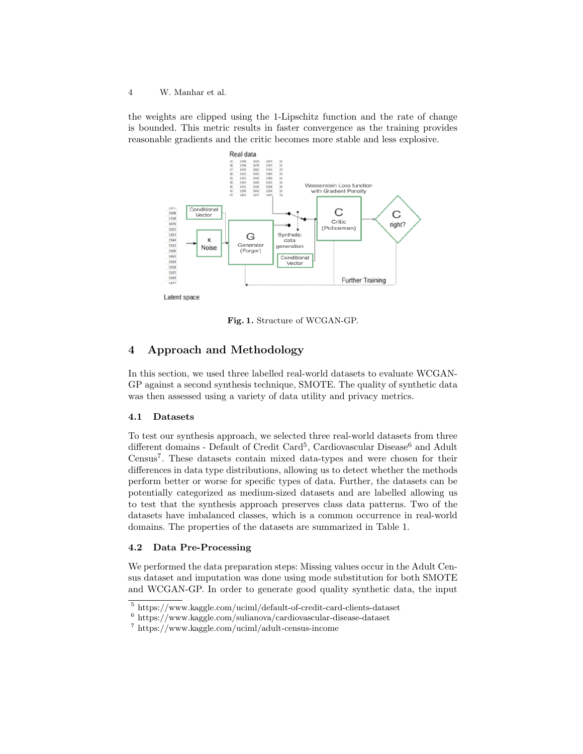the weights are clipped using the 1-Lipschitz function and the rate of change is bounded. This metric results in faster convergence as the training provides reasonable gradients and the critic becomes more stable and less explosive.



Fig. 1. Structure of WCGAN-GP.

# 4 Approach and Methodology

In this section, we used three labelled real-world datasets to evaluate WCGAN-GP against a second synthesis technique, SMOTE. The quality of synthetic data was then assessed using a variety of data utility and privacy metrics.

#### 4.1 Datasets

To test our synthesis approach, we selected three real-world datasets from three different domains - Default of Credit Card<sup>5</sup>, Cardiovascular Disease<sup>6</sup> and Adult Census<sup>7</sup>. These datasets contain mixed data-types and were chosen for their differences in data type distributions, allowing us to detect whether the methods perform better or worse for specific types of data. Further, the datasets can be potentially categorized as medium-sized datasets and are labelled allowing us to test that the synthesis approach preserves class data patterns. Two of the datasets have imbalanced classes, which is a common occurrence in real-world domains. The properties of the datasets are summarized in Table 1.

#### 4.2 Data Pre-Processing

We performed the data preparation steps: Missing values occur in the Adult Census dataset and imputation was done using mode substitution for both SMOTE and WCGAN-GP. In order to generate good quality synthetic data, the input

<sup>5</sup> https://www.kaggle.com/uciml/default-of-credit-card-clients-dataset

 $^6$ https://www.kaggle.com/sulianova/cardiovascular-disease-dataset

<sup>7</sup> https://www.kaggle.com/uciml/adult-census-income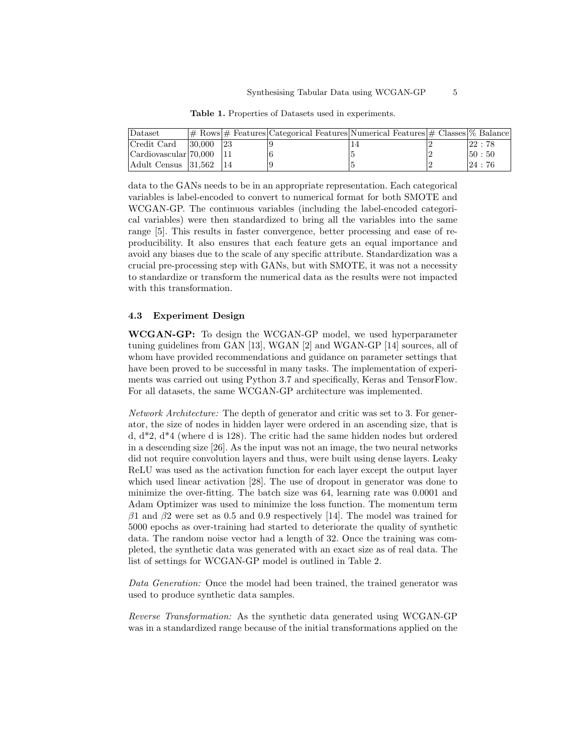| Dataset                    |                  |    | $\vert \#$ Rows $\vert \#$ Features Categorical Features Numerical Features $\vert \#$ Classes $\%$ Balance |  |        |
|----------------------------|------------------|----|-------------------------------------------------------------------------------------------------------------|--|--------|
| Credit Card                | $ 30,000\rangle$ | 23 |                                                                                                             |  | 122:78 |
| Cardiovascular 70,000 11   |                  |    |                                                                                                             |  | 150:50 |
| Adult Census   31.562   14 |                  |    |                                                                                                             |  | 124:76 |

Table 1. Properties of Datasets used in experiments.

data to the GANs needs to be in an appropriate representation. Each categorical variables is label-encoded to convert to numerical format for both SMOTE and WCGAN-GP. The continuous variables (including the label-encoded categorical variables) were then standardized to bring all the variables into the same range [5]. This results in faster convergence, better processing and ease of reproducibility. It also ensures that each feature gets an equal importance and avoid any biases due to the scale of any specific attribute. Standardization was a crucial pre-processing step with GANs, but with SMOTE, it was not a necessity to standardize or transform the numerical data as the results were not impacted with this transformation.

#### 4.3 Experiment Design

WCGAN-GP: To design the WCGAN-GP model, we used hyperparameter tuning guidelines from GAN [13], WGAN [2] and WGAN-GP [14] sources, all of whom have provided recommendations and guidance on parameter settings that have been proved to be successful in many tasks. The implementation of experiments was carried out using Python 3.7 and specifically, Keras and TensorFlow. For all datasets, the same WCGAN-GP architecture was implemented.

Network Architecture: The depth of generator and critic was set to 3. For generator, the size of nodes in hidden layer were ordered in an ascending size, that is d, d\*2, d\*4 (where d is 128). The critic had the same hidden nodes but ordered in a descending size [26]. As the input was not an image, the two neural networks did not require convolution layers and thus, were built using dense layers. Leaky ReLU was used as the activation function for each layer except the output layer which used linear activation [28]. The use of dropout in generator was done to minimize the over-fitting. The batch size was 64, learning rate was 0.0001 and Adam Optimizer was used to minimize the loss function. The momentum term  $\beta$ 1 and  $\beta$ 2 were set as 0.5 and 0.9 respectively [14]. The model was trained for 5000 epochs as over-training had started to deteriorate the quality of synthetic data. The random noise vector had a length of 32. Once the training was completed, the synthetic data was generated with an exact size as of real data. The list of settings for WCGAN-GP model is outlined in Table 2.

Data Generation: Once the model had been trained, the trained generator was used to produce synthetic data samples.

Reverse Transformation: As the synthetic data generated using WCGAN-GP was in a standardized range because of the initial transformations applied on the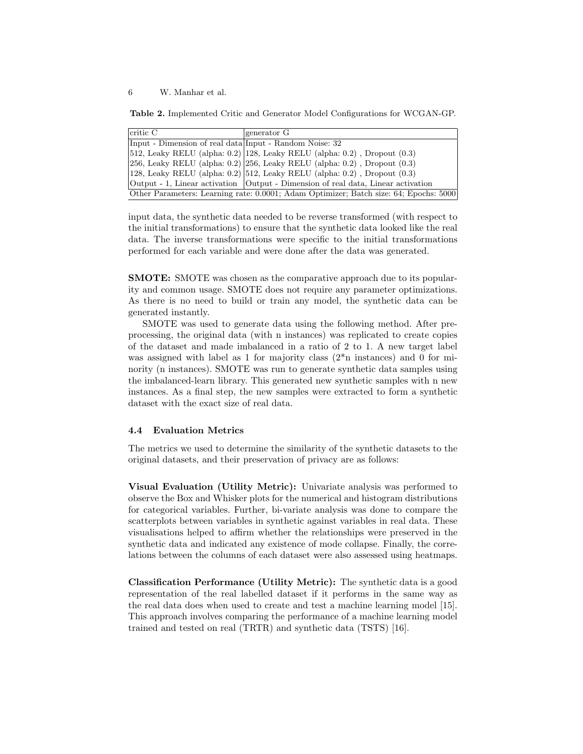Table 2. Implemented Critic and Generator Model Configurations for WCGAN-GP.

| critic C                                                                              | generator G                                                                                     |  |  |  |
|---------------------------------------------------------------------------------------|-------------------------------------------------------------------------------------------------|--|--|--|
| Input - Dimension of real data Input - Random Noise: 32                               |                                                                                                 |  |  |  |
|                                                                                       | $ 512$ , Leaky RELU (alpha: 0.2) 128, Leaky RELU (alpha: 0.2), Dropout $(0.3)$                  |  |  |  |
|                                                                                       | $ 256, \text{Leaky RELU (alpha: } 0.2)  256, \text{Leaky RELU (alpha: } 0.2)$ , Dropout $(0.3)$ |  |  |  |
|                                                                                       | $(128, \text{Leaky RELU (alpha: 0.2)}   512, \text{Leaky RELU (alpha: 0.2)}$ , Dropout $(0.3)$  |  |  |  |
|                                                                                       | Output - 1, Linear activation   Output - Dimension of real data, Linear activation              |  |  |  |
| Other Parameters: Learning rate: 0.0001; Adam Optimizer; Batch size: 64; Epochs: 5000 |                                                                                                 |  |  |  |

input data, the synthetic data needed to be reverse transformed (with respect to the initial transformations) to ensure that the synthetic data looked like the real data. The inverse transformations were specific to the initial transformations performed for each variable and were done after the data was generated.

SMOTE: SMOTE was chosen as the comparative approach due to its popularity and common usage. SMOTE does not require any parameter optimizations. As there is no need to build or train any model, the synthetic data can be generated instantly.

SMOTE was used to generate data using the following method. After preprocessing, the original data (with n instances) was replicated to create copies of the dataset and made imbalanced in a ratio of 2 to 1. A new target label was assigned with label as 1 for majority class (2\*n instances) and 0 for minority (n instances). SMOTE was run to generate synthetic data samples using the imbalanced-learn library. This generated new synthetic samples with n new instances. As a final step, the new samples were extracted to form a synthetic dataset with the exact size of real data.

#### 4.4 Evaluation Metrics

The metrics we used to determine the similarity of the synthetic datasets to the original datasets, and their preservation of privacy are as follows:

Visual Evaluation (Utility Metric): Univariate analysis was performed to observe the Box and Whisker plots for the numerical and histogram distributions for categorical variables. Further, bi-variate analysis was done to compare the scatterplots between variables in synthetic against variables in real data. These visualisations helped to affirm whether the relationships were preserved in the synthetic data and indicated any existence of mode collapse. Finally, the correlations between the columns of each dataset were also assessed using heatmaps.

Classification Performance (Utility Metric): The synthetic data is a good representation of the real labelled dataset if it performs in the same way as the real data does when used to create and test a machine learning model [15]. This approach involves comparing the performance of a machine learning model trained and tested on real (TRTR) and synthetic data (TSTS) [16].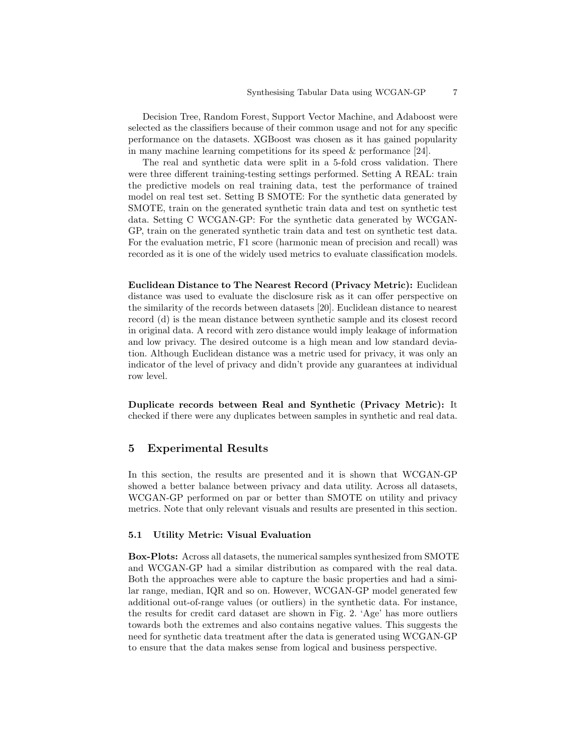Decision Tree, Random Forest, Support Vector Machine, and Adaboost were selected as the classifiers because of their common usage and not for any specific performance on the datasets. XGBoost was chosen as it has gained popularity in many machine learning competitions for its speed & performance [24].

The real and synthetic data were split in a 5-fold cross validation. There were three different training-testing settings performed. Setting A REAL: train the predictive models on real training data, test the performance of trained model on real test set. Setting B SMOTE: For the synthetic data generated by SMOTE, train on the generated synthetic train data and test on synthetic test data. Setting C WCGAN-GP: For the synthetic data generated by WCGAN-GP, train on the generated synthetic train data and test on synthetic test data. For the evaluation metric, F1 score (harmonic mean of precision and recall) was recorded as it is one of the widely used metrics to evaluate classification models.

Euclidean Distance to The Nearest Record (Privacy Metric): Euclidean distance was used to evaluate the disclosure risk as it can offer perspective on the similarity of the records between datasets [20]. Euclidean distance to nearest record (d) is the mean distance between synthetic sample and its closest record in original data. A record with zero distance would imply leakage of information and low privacy. The desired outcome is a high mean and low standard deviation. Although Euclidean distance was a metric used for privacy, it was only an indicator of the level of privacy and didn't provide any guarantees at individual row level.

Duplicate records between Real and Synthetic (Privacy Metric): It checked if there were any duplicates between samples in synthetic and real data.

### 5 Experimental Results

In this section, the results are presented and it is shown that WCGAN-GP showed a better balance between privacy and data utility. Across all datasets, WCGAN-GP performed on par or better than SMOTE on utility and privacy metrics. Note that only relevant visuals and results are presented in this section.

#### 5.1 Utility Metric: Visual Evaluation

Box-Plots: Across all datasets, the numerical samples synthesized from SMOTE and WCGAN-GP had a similar distribution as compared with the real data. Both the approaches were able to capture the basic properties and had a similar range, median, IQR and so on. However, WCGAN-GP model generated few additional out-of-range values (or outliers) in the synthetic data. For instance, the results for credit card dataset are shown in Fig. 2. 'Age' has more outliers towards both the extremes and also contains negative values. This suggests the need for synthetic data treatment after the data is generated using WCGAN-GP to ensure that the data makes sense from logical and business perspective.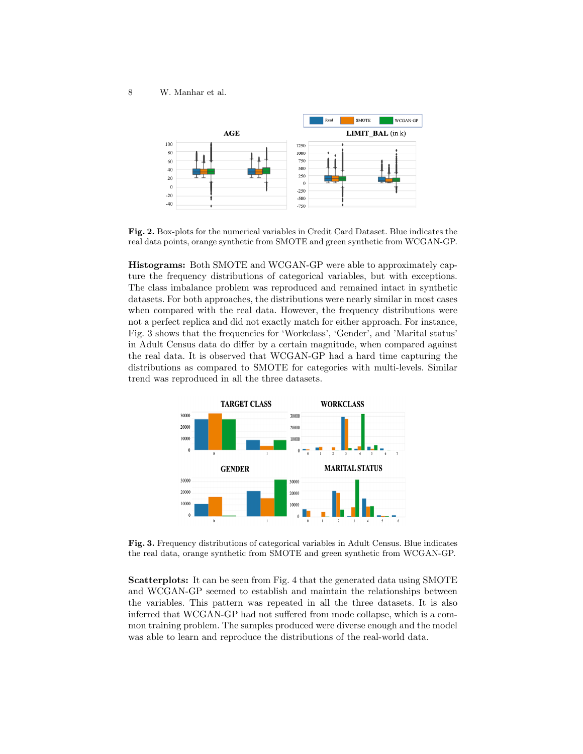

Fig. 2. Box-plots for the numerical variables in Credit Card Dataset. Blue indicates the real data points, orange synthetic from SMOTE and green synthetic from WCGAN-GP.

Histograms: Both SMOTE and WCGAN-GP were able to approximately capture the frequency distributions of categorical variables, but with exceptions. The class imbalance problem was reproduced and remained intact in synthetic datasets. For both approaches, the distributions were nearly similar in most cases when compared with the real data. However, the frequency distributions were not a perfect replica and did not exactly match for either approach. For instance, Fig. 3 shows that the frequencies for 'Workclass', 'Gender', and 'Marital status' in Adult Census data do differ by a certain magnitude, when compared against the real data. It is observed that WCGAN-GP had a hard time capturing the distributions as compared to SMOTE for categories with multi-levels. Similar trend was reproduced in all the three datasets.



Fig. 3. Frequency distributions of categorical variables in Adult Census. Blue indicates the real data, orange synthetic from SMOTE and green synthetic from WCGAN-GP.

Scatterplots: It can be seen from Fig. 4 that the generated data using SMOTE and WCGAN-GP seemed to establish and maintain the relationships between the variables. This pattern was repeated in all the three datasets. It is also inferred that WCGAN-GP had not suffered from mode collapse, which is a common training problem. The samples produced were diverse enough and the model was able to learn and reproduce the distributions of the real-world data.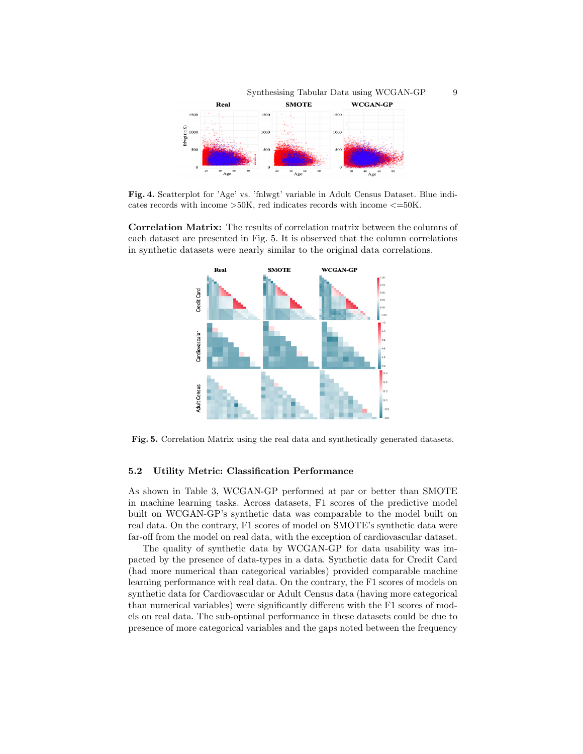

Fig. 4. Scatterplot for 'Age' vs. 'fnlwgt' variable in Adult Census Dataset. Blue indicates records with income  $>50K$ , red indicates records with income  $<=50K$ .

Correlation Matrix: The results of correlation matrix between the columns of each dataset are presented in Fig. 5. It is observed that the column correlations in synthetic datasets were nearly similar to the original data correlations.



Fig. 5. Correlation Matrix using the real data and synthetically generated datasets.

#### 5.2 Utility Metric: Classification Performance

As shown in Table 3, WCGAN-GP performed at par or better than SMOTE in machine learning tasks. Across datasets, F1 scores of the predictive model built on WCGAN-GP's synthetic data was comparable to the model built on real data. On the contrary, F1 scores of model on SMOTE's synthetic data were far-off from the model on real data, with the exception of cardiovascular dataset.

The quality of synthetic data by WCGAN-GP for data usability was impacted by the presence of data-types in a data. Synthetic data for Credit Card (had more numerical than categorical variables) provided comparable machine learning performance with real data. On the contrary, the F1 scores of models on synthetic data for Cardiovascular or Adult Census data (having more categorical than numerical variables) were significantly different with the F1 scores of models on real data. The sub-optimal performance in these datasets could be due to presence of more categorical variables and the gaps noted between the frequency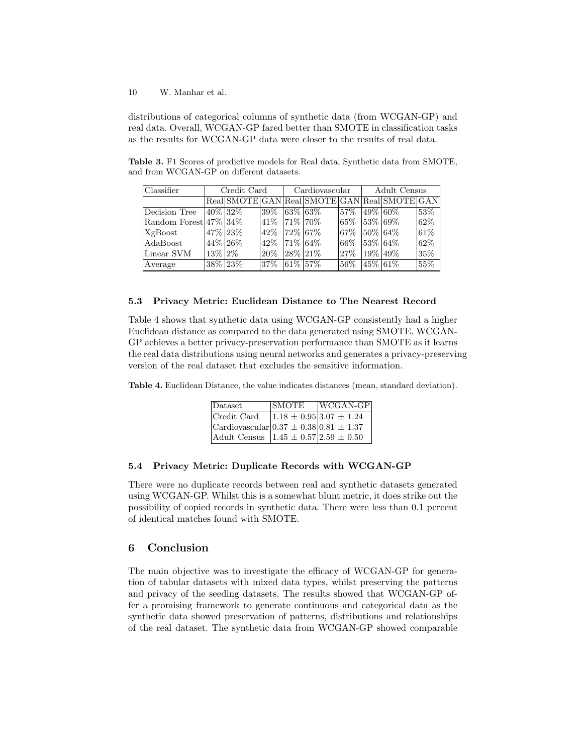distributions of categorical columns of synthetic data (from WCGAN-GP) and real data. Overall, WCGAN-GP fared better than SMOTE in classification tasks as the results for WCGAN-GP data were closer to the results of real data.

Table 3. F1 Scores of predictive models for Real data, Synthetic data from SMOTE, and from WCGAN-GP on different datasets.

| Classifier                | Credit Card  |           | Cardiovascular |              | Adult Census |                   |            |                                              |      |
|---------------------------|--------------|-----------|----------------|--------------|--------------|-------------------|------------|----------------------------------------------|------|
|                           |              |           |                |              |              |                   |            | Real SMOTE GAN Real SMOTE GAN Real SMOTE GAN |      |
| Decision Tree             |              | 40\% 32\% | 39%            |              | $ 63\% 63\%$ | $157\%$           |            | $ 49\% 60\%$                                 | 53%  |
| Random Forest $47\%$ 34\% |              |           | 41% 71% 70%    |              |              | $ 65\% 53\% 69\%$ |            |                                              | 62\% |
| XgBoost                   | 47% 23%      |           | $42\%$         | $ 72\% 67\%$ |              | 67%               |            | $ 50\% 64\%$                                 | 61\% |
| AdaBoost                  | 44% 26%      |           | 42\%           | $ 71\% 64\%$ |              | 66%               |            | $ 53\% 64\%$                                 | 62%  |
| Linear SVM                | $13\%$ $2\%$ |           | 20\%           | $ 28\% 21\%$ |              | 127%              | $19\%$ 49% |                                              | 35\% |
| Average                   |              | 38% 23%   | $37\%$         | $ 61\% 57\%$ |              | 56\%              |            | $145\%$ 61\%                                 | 55%  |

#### 5.3 Privacy Metric: Euclidean Distance to The Nearest Record

Table 4 shows that synthetic data using WCGAN-GP consistently had a higher Euclidean distance as compared to the data generated using SMOTE. WCGAN-GP achieves a better privacy-preservation performance than SMOTE as it learns the real data distributions using neural networks and generates a privacy-preserving version of the real dataset that excludes the sensitive information.

Table 4. Euclidean Distance, the value indicates distances (mean, standard deviation).

| Dataset                                                 | <b>SMOTE</b> | $ WCGAN-GP $                    |
|---------------------------------------------------------|--------------|---------------------------------|
| Credit Card                                             |              | $1.18 \pm 0.95$ 3.07 $\pm 1.24$ |
| $ {\rm Cardio}$ vascular $ 0.37 \pm 0.38 0.81 \pm 1.37$ |              |                                 |
| Adult Census $ 1.45 \pm 0.57 2.59 \pm 0.50$             |              |                                 |

#### 5.4 Privacy Metric: Duplicate Records with WCGAN-GP

There were no duplicate records between real and synthetic datasets generated using WCGAN-GP. Whilst this is a somewhat blunt metric, it does strike out the possibility of copied records in synthetic data. There were less than 0.1 percent of identical matches found with SMOTE.

# 6 Conclusion

The main objective was to investigate the efficacy of WCGAN-GP for generation of tabular datasets with mixed data types, whilst preserving the patterns and privacy of the seeding datasets. The results showed that WCGAN-GP offer a promising framework to generate continuous and categorical data as the synthetic data showed preservation of patterns, distributions and relationships of the real dataset. The synthetic data from WCGAN-GP showed comparable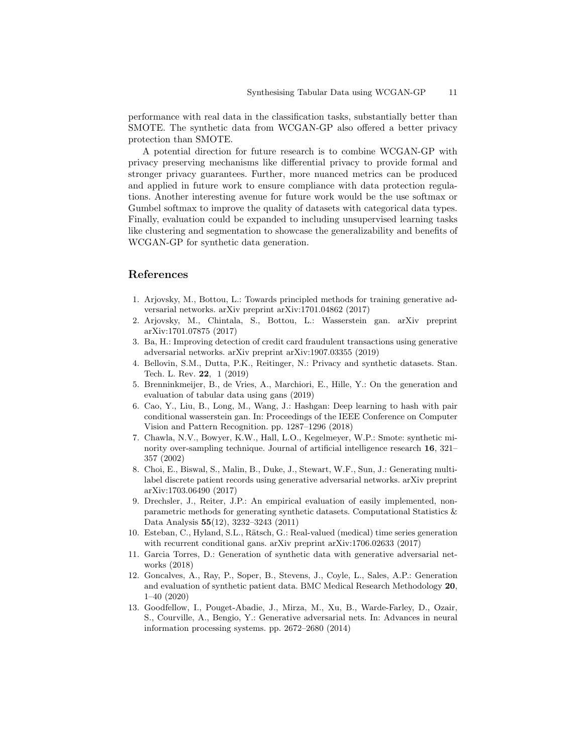performance with real data in the classification tasks, substantially better than SMOTE. The synthetic data from WCGAN-GP also offered a better privacy protection than SMOTE.

A potential direction for future research is to combine WCGAN-GP with privacy preserving mechanisms like differential privacy to provide formal and stronger privacy guarantees. Further, more nuanced metrics can be produced and applied in future work to ensure compliance with data protection regulations. Another interesting avenue for future work would be the use softmax or Gumbel softmax to improve the quality of datasets with categorical data types. Finally, evaluation could be expanded to including unsupervised learning tasks like clustering and segmentation to showcase the generalizability and benefits of WCGAN-GP for synthetic data generation.

# References

- 1. Arjovsky, M., Bottou, L.: Towards principled methods for training generative adversarial networks. arXiv preprint arXiv:1701.04862 (2017)
- 2. Arjovsky, M., Chintala, S., Bottou, L.: Wasserstein gan. arXiv preprint arXiv:1701.07875 (2017)
- 3. Ba, H.: Improving detection of credit card fraudulent transactions using generative adversarial networks. arXiv preprint arXiv:1907.03355 (2019)
- 4. Bellovin, S.M., Dutta, P.K., Reitinger, N.: Privacy and synthetic datasets. Stan. Tech. L. Rev. 22, 1 (2019)
- 5. Brenninkmeijer, B., de Vries, A., Marchiori, E., Hille, Y.: On the generation and evaluation of tabular data using gans (2019)
- 6. Cao, Y., Liu, B., Long, M., Wang, J.: Hashgan: Deep learning to hash with pair conditional wasserstein gan. In: Proceedings of the IEEE Conference on Computer Vision and Pattern Recognition. pp. 1287–1296 (2018)
- 7. Chawla, N.V., Bowyer, K.W., Hall, L.O., Kegelmeyer, W.P.: Smote: synthetic minority over-sampling technique. Journal of artificial intelligence research 16, 321– 357 (2002)
- 8. Choi, E., Biswal, S., Malin, B., Duke, J., Stewart, W.F., Sun, J.: Generating multilabel discrete patient records using generative adversarial networks. arXiv preprint arXiv:1703.06490 (2017)
- 9. Drechsler, J., Reiter, J.P.: An empirical evaluation of easily implemented, nonparametric methods for generating synthetic datasets. Computational Statistics & Data Analysis 55(12), 3232–3243 (2011)
- 10. Esteban, C., Hyland, S.L., Rätsch, G.: Real-valued (medical) time series generation with recurrent conditional gans. arXiv preprint arXiv:1706.02633 (2017)
- 11. Garcia Torres, D.: Generation of synthetic data with generative adversarial networks (2018)
- 12. Goncalves, A., Ray, P., Soper, B., Stevens, J., Coyle, L., Sales, A.P.: Generation and evaluation of synthetic patient data. BMC Medical Research Methodology 20, 1–40 (2020)
- 13. Goodfellow, I., Pouget-Abadie, J., Mirza, M., Xu, B., Warde-Farley, D., Ozair, S., Courville, A., Bengio, Y.: Generative adversarial nets. In: Advances in neural information processing systems. pp. 2672–2680 (2014)